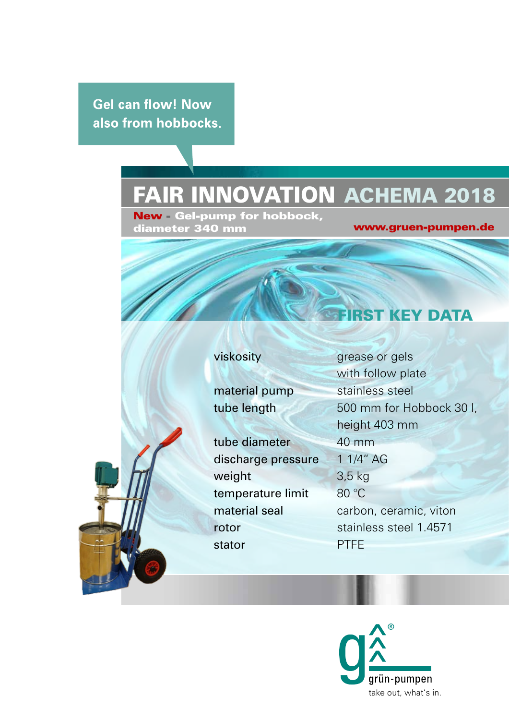**Gel can flow! Now** also from hobbocks.

## Fair innovation ACHEMA 2018

New - Gel-pump for hobbock, diameter 340 mm

### www.gruen-pumpen.de

**ST KEY DATA** 

tube diameter 40 mm discharge pressure 1 1/4" AG weight 3,5 kg temperature limit 80 °C rotor stainless steel 1.4571 stator PTFE

viskosity grease or gels with follow plate material pump stainless steel tube length 500 mm for Hobbock 30 l, height 403 mm material seal carbon, ceramic, viton